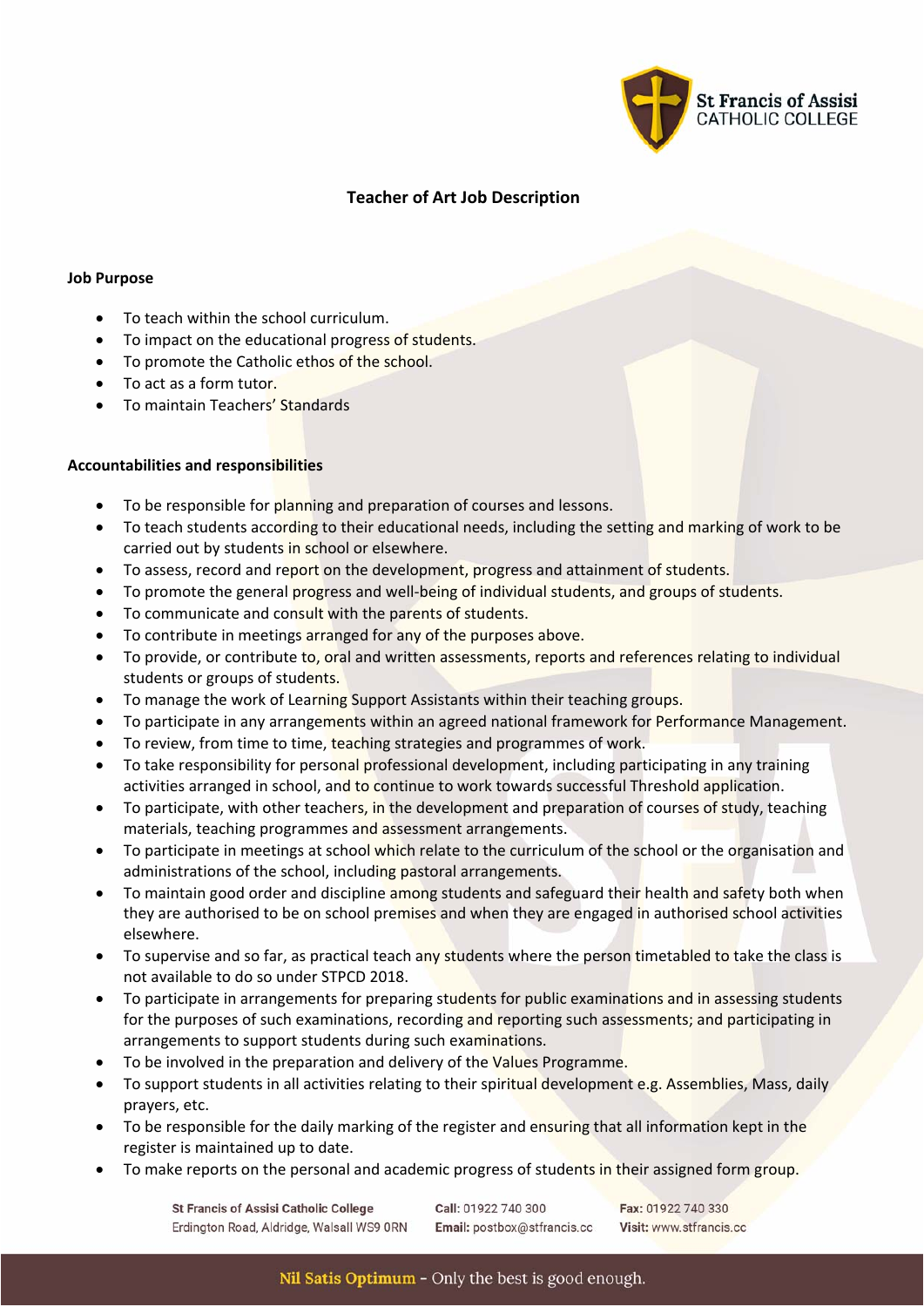

## **Teacher of Art Job Description**

## **Job Purpose**

- To teach within the school curriculum.
- To impact on the educational progress of students.
- To promote the Catholic ethos of the school.
- To act as a form tutor.
- To maintain Teachers' Standards

## **Accountabilities and responsibilities**

- To be responsible for planning and preparation of courses and lessons.
- To teach students according to their educational needs, including the setting and marking of work to be carried out by students in school or elsewhere.
- To assess, record and report on the development, progress and attainment of students.
- To promote the general progress and well-being of individual students, and groups of students.
- To communicate and consult with the parents of students.
- To contribute in meetings arranged for any of the purposes above.
- To provide, or contribute to, oral and written assessments, reports and references relating to individual students or groups of students.
- To manage the work of Learning Support Assistants within their teaching groups.
- To participate in any arrangements within an agreed national framework for Performance Management.
- To review, from time to time, teaching strategies and programmes of work.
- To take responsibility for personal professional development, including participating in any training activities arranged in school, and to continue to work towards successful Threshold application.
- To participate, with other teachers, in the development and preparation of courses of study, teaching materials, teaching programmes and assessment arrangements.
- To participate in meetings at school which relate to the curriculum of the school or the organisation and administrations of the school, including pastoral arrangements.
- To maintain good order and discipline among students and safeguard their health and safety both when they are authorised to be on school premises and when they are engaged in authorised school activities elsewhere.
- To supervise and so far, as practical teach any students where the person timetabled to take the class is not available to do so under STPCD 2018.
- To participate in arrangements for preparing students for public examinations and in assessing students for the purposes of such examinations, recording and reporting such assessments; and participating in arrangements to support students during such examinations.
- To be involved in the preparation and delivery of the Values Programme.
- To support students in all activities relating to their spiritual development e.g. Assemblies, Mass, daily prayers, etc.
- To be responsible for the daily marking of the register and ensuring that all information kept in the register is maintained up to date.
- To make reports on the personal and academic progress of students in their assigned form group.

**St Francis of Assisi Catholic College** Erdington Road, Aldridge, Walsall WS9 ORN Call: 01922 740 300 Email: postbox@stfrancis.cc

Fax: 01922 740 330 Visit: www.stfrancis.cc